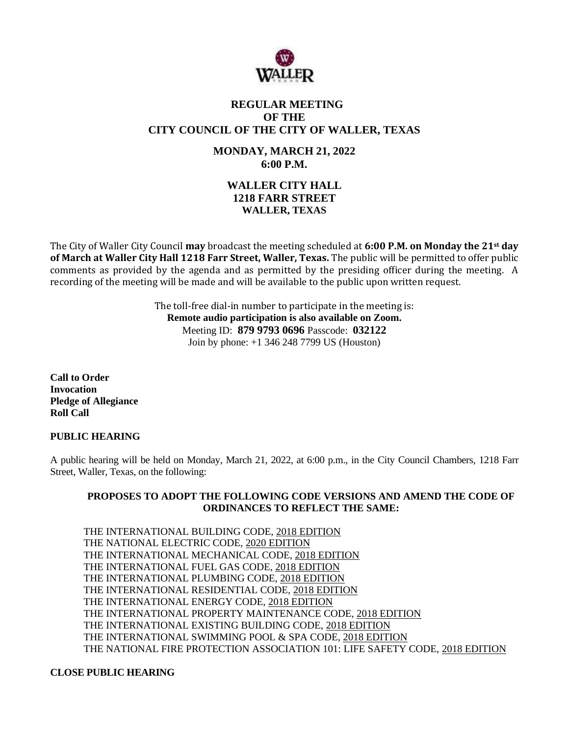

# **REGULAR MEETING OF THE CITY COUNCIL OF THE CITY OF WALLER, TEXAS**

**MONDAY, MARCH 21, 2022 6:00 P.M.**

# **WALLER CITY HALL 1218 FARR STREET WALLER, TEXAS**

The City of Waller City Council **may** broadcast the meeting scheduled at **6:00 P.M. on Monday the 21st day of March at Waller City Hall 1218 Farr Street, Waller, Texas.** The public will be permitted to offer public comments as provided by the agenda and as permitted by the presiding officer during the meeting. A recording of the meeting will be made and will be available to the public upon written request.

> The toll-free dial-in number to participate in the meeting is: **Remote audio participation is also available on Zoom.** Meeting ID: **879 9793 0696** Passcode: **032122** Join by phone: +1 346 248 7799 US (Houston)

**Call to Order Invocation Pledge of Allegiance Roll Call**

## **PUBLIC HEARING**

A public hearing will be held on Monday, March 21, 2022, at 6:00 p.m., in the City Council Chambers, 1218 Farr Street, Waller, Texas, on the following:

## **PROPOSES TO ADOPT THE FOLLOWING CODE VERSIONS AND AMEND THE CODE OF ORDINANCES TO REFLECT THE SAME:**

THE INTERNATIONAL BUILDING CODE, 2018 EDITION THE NATIONAL ELECTRIC CODE, 2020 EDITION THE INTERNATIONAL MECHANICAL CODE, 2018 EDITION THE INTERNATIONAL FUEL GAS CODE, 2018 EDITION THE INTERNATIONAL PLUMBING CODE, 2018 EDITION THE INTERNATIONAL RESIDENTIAL CODE, 2018 EDITION THE INTERNATIONAL ENERGY CODE, 2018 EDITION THE INTERNATIONAL PROPERTY MAINTENANCE CODE, 2018 EDITION THE INTERNATIONAL EXISTING BUILDING CODE, 2018 EDITION THE INTERNATIONAL SWIMMING POOL & SPA CODE, 2018 EDITION THE NATIONAL FIRE PROTECTION ASSOCIATION 101: LIFE SAFETY CODE, 2018 EDITION

## **CLOSE PUBLIC HEARING**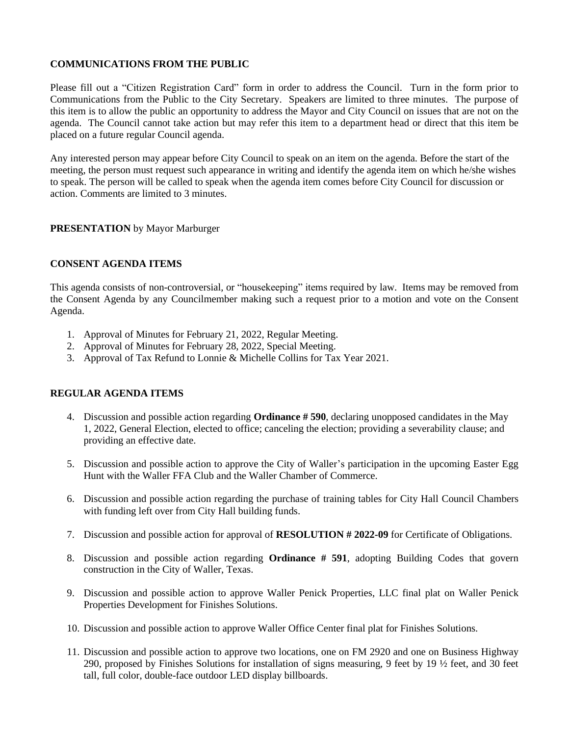## **COMMUNICATIONS FROM THE PUBLIC**

Please fill out a "Citizen Registration Card" form in order to address the Council. Turn in the form prior to Communications from the Public to the City Secretary. Speakers are limited to three minutes. The purpose of this item is to allow the public an opportunity to address the Mayor and City Council on issues that are not on the agenda. The Council cannot take action but may refer this item to a department head or direct that this item be placed on a future regular Council agenda.

Any interested person may appear before City Council to speak on an item on the agenda. Before the start of the meeting, the person must request such appearance in writing and identify the agenda item on which he/she wishes to speak. The person will be called to speak when the agenda item comes before City Council for discussion or action. Comments are limited to 3 minutes.

## **PRESENTATION** by Mayor Marburger

#### **CONSENT AGENDA ITEMS**

This agenda consists of non-controversial, or "housekeeping" items required by law. Items may be removed from the Consent Agenda by any Councilmember making such a request prior to a motion and vote on the Consent Agenda.

- 1. Approval of Minutes for February 21, 2022, Regular Meeting.
- 2. Approval of Minutes for February 28, 2022, Special Meeting.
- 3. Approval of Tax Refund to Lonnie & Michelle Collins for Tax Year 2021.

## **REGULAR AGENDA ITEMS**

- 4. Discussion and possible action regarding **Ordinance # 590**, declaring unopposed candidates in the May 1, 2022, General Election, elected to office; canceling the election; providing a severability clause; and providing an effective date.
- 5. Discussion and possible action to approve the City of Waller's participation in the upcoming Easter Egg Hunt with the Waller FFA Club and the Waller Chamber of Commerce.
- 6. Discussion and possible action regarding the purchase of training tables for City Hall Council Chambers with funding left over from City Hall building funds.
- 7. Discussion and possible action for approval of **RESOLUTION # 2022-09** for Certificate of Obligations.
- 8. Discussion and possible action regarding **Ordinance # 591**, adopting Building Codes that govern construction in the City of Waller, Texas.
- 9. Discussion and possible action to approve Waller Penick Properties, LLC final plat on Waller Penick Properties Development for Finishes Solutions.
- 10. Discussion and possible action to approve Waller Office Center final plat for Finishes Solutions.
- 11. Discussion and possible action to approve two locations, one on FM 2920 and one on Business Highway 290, proposed by Finishes Solutions for installation of signs measuring, 9 feet by 19 ½ feet, and 30 feet tall, full color, double-face outdoor LED display billboards.